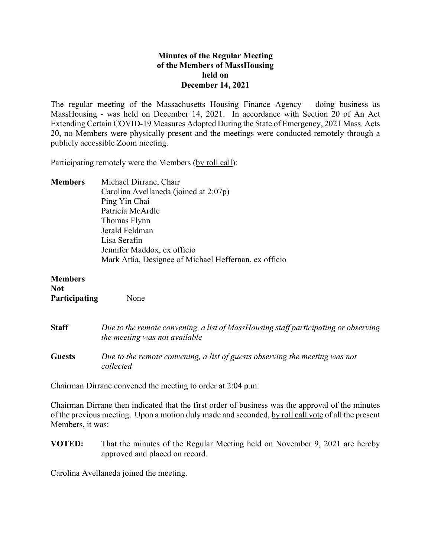## **Minutes of the Regular Meeting of the Members of MassHousing held on December 14, 2021**

The regular meeting of the Massachusetts Housing Finance Agency – doing business as MassHousing - was held on December 14, 2021. In accordance with Section 20 of An Act Extending Certain COVID-19 Measures Adopted During the State of Emergency, 2021 Mass. Acts 20, no Members were physically present and the meetings were conducted remotely through a publicly accessible Zoom meeting.

Participating remotely were the Members (by roll call):

**Members** Michael Dirrane, Chair Carolina Avellaneda (joined at 2:07p) Ping Yin Chai Patricia McArdle Thomas Flynn Jerald Feldman Lisa Serafin Jennifer Maddox, ex officio Mark Attia, Designee of Michael Heffernan, ex officio

**Members Not Participating** None

**Staff** *Due to the remote convening, a list of MassHousing staff participating or observing the meeting was not available*  **Guests** *Due to the remote convening, a list of guests observing the meeting was not collected*

Chairman Dirrane convened the meeting to order at 2:04 p.m.

Chairman Dirrane then indicated that the first order of business was the approval of the minutes of the previous meeting. Upon a motion duly made and seconded, by roll call vote of all the present Members, it was:

**VOTED:** That the minutes of the Regular Meeting held on November 9, 2021 are hereby approved and placed on record.

Carolina Avellaneda joined the meeting.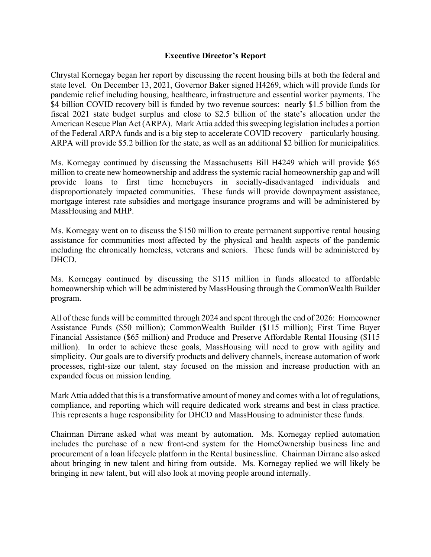## **Executive Director's Report**

Chrystal Kornegay began her report by discussing the recent housing bills at both the federal and state level. On December 13, 2021, Governor Baker signed H4269, which will provide funds for pandemic relief including housing, healthcare, infrastructure and essential worker payments. The \$4 billion COVID recovery bill is funded by two revenue sources: nearly \$1.5 billion from the fiscal 2021 state budget surplus and close to \$2.5 billion of the state's allocation under the American Rescue Plan Act (ARPA). Mark Attia added this sweeping legislation includes a portion of the Federal ARPA funds and is a big step to accelerate COVID recovery – particularly housing. ARPA will provide \$5.2 billion for the state, as well as an additional \$2 billion for municipalities.

Ms. Kornegay continued by discussing the Massachusetts Bill H4249 which will provide \$65 million to create new homeownership and address the systemic racial homeownership gap and will provide loans to first time homebuyers in socially-disadvantaged individuals and disproportionately impacted communities. These funds will provide downpayment assistance, mortgage interest rate subsidies and mortgage insurance programs and will be administered by MassHousing and MHP.

Ms. Kornegay went on to discuss the \$150 million to create permanent supportive rental housing assistance for communities most affected by the physical and health aspects of the pandemic including the chronically homeless, veterans and seniors. These funds will be administered by DHCD.

Ms. Kornegay continued by discussing the \$115 million in funds allocated to affordable homeownership which will be administered by MassHousing through the CommonWealth Builder program.

All of these funds will be committed through 2024 and spent through the end of 2026: Homeowner Assistance Funds (\$50 million); CommonWealth Builder (\$115 million); First Time Buyer Financial Assistance (\$65 million) and Produce and Preserve Affordable Rental Housing (\$115 million). In order to achieve these goals, MassHousing will need to grow with agility and simplicity. Our goals are to diversify products and delivery channels, increase automation of work processes, right-size our talent, stay focused on the mission and increase production with an expanded focus on mission lending.

Mark Attia added that this is a transformative amount of money and comes with a lot of regulations, compliance, and reporting which will require dedicated work streams and best in class practice. This represents a huge responsibility for DHCD and MassHousing to administer these funds.

Chairman Dirrane asked what was meant by automation. Ms. Kornegay replied automation includes the purchase of a new front-end system for the HomeOwnership business line and procurement of a loan lifecycle platform in the Rental businessline. Chairman Dirrane also asked about bringing in new talent and hiring from outside. Ms. Kornegay replied we will likely be bringing in new talent, but will also look at moving people around internally.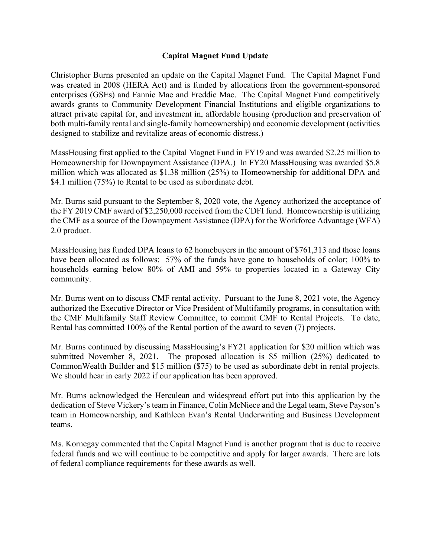## **Capital Magnet Fund Update**

Christopher Burns presented an update on the Capital Magnet Fund. The Capital Magnet Fund was created in 2008 (HERA Act) and is funded by allocations from the government-sponsored enterprises (GSEs) and Fannie Mae and Freddie Mac. The Capital Magnet Fund competitively awards grants to Community Development Financial Institutions and eligible organizations to attract private capital for, and investment in, affordable housing (production and preservation of both multi-family rental and single-family homeownership) and economic development (activities designed to stabilize and revitalize areas of economic distress.)

MassHousing first applied to the Capital Magnet Fund in FY19 and was awarded \$2.25 million to Homeownership for Downpayment Assistance (DPA.) In FY20 MassHousing was awarded \$5.8 million which was allocated as \$1.38 million (25%) to Homeownership for additional DPA and \$4.1 million (75%) to Rental to be used as subordinate debt.

Mr. Burns said pursuant to the September 8, 2020 vote, the Agency authorized the acceptance of the FY 2019 CMF award of \$2,250,000 received from the CDFI fund. Homeownership is utilizing the CMF as a source of the Downpayment Assistance (DPA) for the Workforce Advantage (WFA) 2.0 product.

MassHousing has funded DPA loans to 62 homebuyers in the amount of \$761,313 and those loans have been allocated as follows: 57% of the funds have gone to households of color; 100% to households earning below 80% of AMI and 59% to properties located in a Gateway City community.

Mr. Burns went on to discuss CMF rental activity. Pursuant to the June 8, 2021 vote, the Agency authorized the Executive Director or Vice President of Multifamily programs, in consultation with the CMF Multifamily Staff Review Committee, to commit CMF to Rental Projects. To date, Rental has committed 100% of the Rental portion of the award to seven (7) projects.

Mr. Burns continued by discussing MassHousing's FY21 application for \$20 million which was submitted November 8, 2021. The proposed allocation is \$5 million (25%) dedicated to CommonWealth Builder and \$15 million (\$75) to be used as subordinate debt in rental projects. We should hear in early 2022 if our application has been approved.

Mr. Burns acknowledged the Herculean and widespread effort put into this application by the dedication of Steve Vickery's team in Finance, Colin McNiece and the Legal team, Steve Payson's team in Homeownership, and Kathleen Evan's Rental Underwriting and Business Development teams.

Ms. Kornegay commented that the Capital Magnet Fund is another program that is due to receive federal funds and we will continue to be competitive and apply for larger awards. There are lots of federal compliance requirements for these awards as well.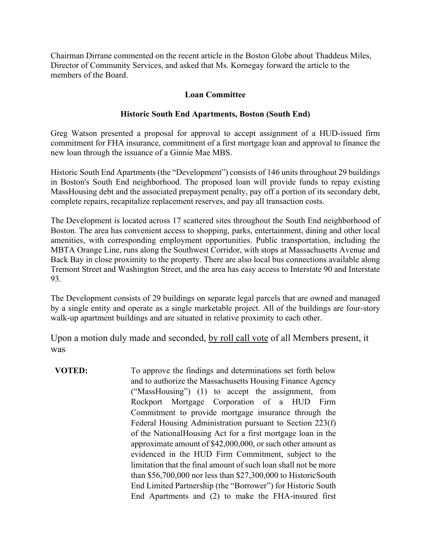Chairman Dirrane commented on the recent article in the Boston Globe about Thaddeus Miles, Director of Community Services, and asked that Ms. Kornegay forward the article to the members of the Board.

## **Loan Committee**

## **Historic South End Apartments, Boston (South End)**

Greg Watson presented a proposal for approval to accept assignment of a HUD-issued firm commitment for FHA insurance, commitment of a first mortgage loan and approval to finance the new loan through the issuance of a Ginnie Mae MBS.

Historic South End Apartments (the "Development") consists of 146 units throughout 29 buildings in Boston's South End neighborhood. The proposed loan will provide funds to repay existing MassHousing debt and the associated prepayment penalty, pay off a portion of its secondary debt, complete repairs, recapitalize replacement reserves, and pay all transaction costs.

The Development is located across 17 scattered sites throughout the South End neighborhood of Boston. The area has convenient access to shopping, parks, entertainment, dining and other local amenities, with corresponding employment opportunities. Public transportation, including the MBTA Orange Line, runs along the Southwest Corridor, with stops at Massachusetts Avenue and Back Bay in close proximity to the property. There are also local bus connections available along Tremont Street and Washington Street, and the area has easy access to Interstate 90 and Interstate 93.

The Development consists of 29 buildings on separate legal parcels that are owned and managed by a single entity and operate as a single marketable project. All of the buildings are four-story walk-up apartment buildings and are situated in relative proximity to each other.

Upon a motion duly made and seconded, by roll call vote of all Members present, it was

**VOTED:** To approve the findings and determinations set forth below and to authorize the Massachusetts Housing Finance Agency ("MassHousing") (1) to accept the assignment, from Rockport Mortgage Corporation of a HUD Firm Commitment to provide mortgage insurance through the Federal Housing Administration pursuant to Section 223(f) of the National Housing Act for a first mortgage loan in the approximate amount of \$42,000,000, or such other amount as evidenced in the HUD Firm Commitment, subject to the limitation that the final amount of such loan shall not be more than \$56,700,000 nor less than \$27,300,000 to Historic South End Limited Partnership (the "Borrower") for Historic South End Apartments and (2) to make the FHA-insured first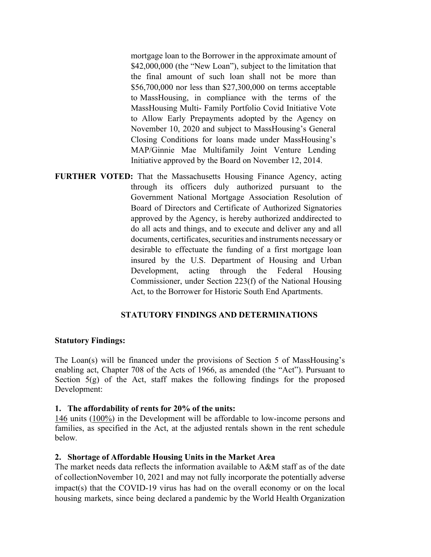mortgage loan to the Borrower in the approximate amount of \$42,000,000 (the "New Loan"), subject to the limitation that the final amount of such loan shall not be more than \$56,700,000 nor less than \$27,300,000 on terms acceptable to MassHousing, in compliance with the terms of the MassHousing Multi- Family Portfolio Covid Initiative Vote to Allow Early Prepayments adopted by the Agency on November 10, 2020 and subject to MassHousing's General Closing Conditions for loans made under MassHousing's MAP/Ginnie Mae Multifamily Joint Venture Lending Initiative approved by the Board on November 12, 2014.

**FURTHER VOTED:** That the Massachusetts Housing Finance Agency, acting through its officers duly authorized pursuant to the Government National Mortgage Association Resolution of Board of Directors and Certificate of Authorized Signatories approved by the Agency, is hereby authorized and directed to do all acts and things, and to execute and deliver any and all documents, certificates, securities and instruments necessary or desirable to effectuate the funding of a first mortgage loan insured by the U.S. Department of Housing and Urban Development, acting through the Federal Housing Commissioner, under Section 223(f) of the National Housing Act, to the Borrower for Historic South End Apartments.

### **STATUTORY FINDINGS AND DETERMINATIONS**

#### **Statutory Findings:**

The Loan(s) will be financed under the provisions of Section 5 of MassHousing's enabling act, Chapter 708 of the Acts of 1966, as amended (the "Act"). Pursuant to Section  $5(g)$  of the Act, staff makes the following findings for the proposed Development:

#### **1. The affordability of rents for 20% of the units:**

146 units (100%) in the Development will be affordable to low-income persons and families, as specified in the Act, at the adjusted rentals shown in the rent schedule below*.* 

#### **2. Shortage of Affordable Housing Units in the Market Area**

The market needs data reflects the information available to A&M staff as of the date of collection November 10, 2021 and may not fully incorporate the potentially adverse impact(s) that the COVID-19 virus has had on the overall economy or on the local housing markets, since being declared a pandemic by the World Health Organization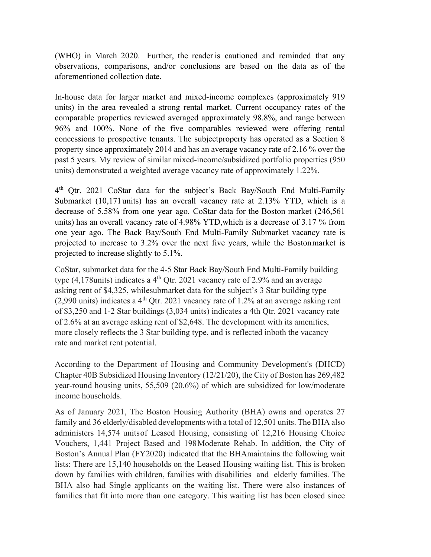(WHO) in March 2020. Further, the reader is cautioned and reminded that any observations, comparisons, and/or conclusions are based on the data as of the aforementioned collection date.

In-house data for larger market and mixed-income complexes (approximately 919 units) in the area revealed a strong rental market. Current occupancy rates of the comparable properties reviewed averaged approximately 98.8%, and range between 96% and 100%. None of the five comparables reviewed were offering rental concessions to prospective tenants. The subject property has operated as a Section 8 property since approximately 2014 and has an average vacancy rate of 2.16 % over the past 5 years. My review of similar mixed-income/subsidized portfolio properties (950 units) demonstrated a weighted average vacancy rate of approximately 1.22%.

4th Qtr. 2021 CoStar data for the subject's Back Bay/South End Multi-Family Submarket (10,171 units) has an overall vacancy rate at 2.13% YTD, which is a decrease of 5.58% from one year ago. CoStar data for the Boston market (246,561 units) has an overall vacancy rate of 4.98% YTD, which is a decrease of 3.17 % from one year ago. The Back Bay/South End Multi-Family Submarket vacancy rate is projected to increase to 3.2% over the next five years, while the Boston market is projected to increase slightly to 5.1%.

CoStar, submarket data for the 4-5 Star Back Bay/South End Multi-Family building type  $(4,178 \text{units})$  indicates a 4<sup>th</sup> Qtr. 2021 vacancy rate of 2.9% and an average asking rent of \$4,325, while submarket data for the subject's 3 Star building type  $(2,990 \text{ units})$  indicates a 4<sup>th</sup> Qtr. 2021 vacancy rate of 1.2% at an average asking rent of \$3,250 and 1-2 Star buildings (3,034 units) indicates a 4th Qtr. 2021 vacancy rate of 2.6% at an average asking rent of \$2,648. The development with its amenities, more closely reflects the 3 Star building type, and is reflected in both the vacancy rate and market rent potential.

According to the Department of Housing and Community Development's (DHCD) Chapter 40B Subsidized Housing Inventory (12/21/20), the City of Boston has 269,482 year-round housing units, 55,509 (20.6%) of which are subsidized for low/moderate income households.

As of January 2021, The Boston Housing Authority (BHA) owns and operates 27 family and 36 elderly/disabled developments with a total of 12,501 units. The BHA also administers 14,574 units of Leased Housing, consisting of 12,216 Housing Choice Vouchers, 1,441 Project Based and 198 Moderate Rehab. In addition, the City of Boston's Annual Plan (FY2020) indicated that the BHA maintains the following wait lists: There are 15,140 households on the Leased Housing waiting list. This is broken down by families with children, families with disabilities and elderly families. The BHA also had Single applicants on the waiting list. There were also instances of families that fit into more than one category. This waiting list has been closed since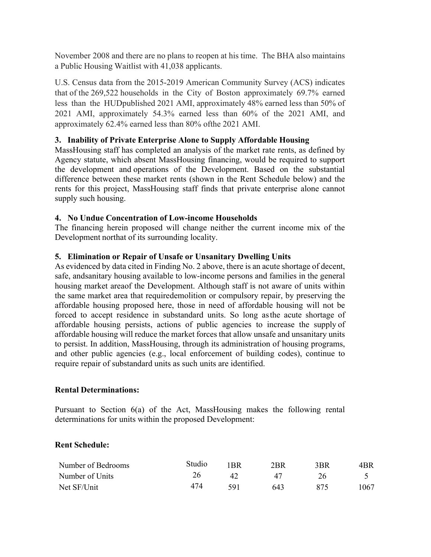November 2008 and there are no plans to reopen at his time. The BHA also maintains a Public Housing Waitlist with 41,038 applicants.

U.S. Census data from the 2015-2019 American Community Survey (ACS) indicates that of the 269,522 households in the City of Boston approximately 69.7% earned less than the HUD published 2021 AMI, approximately 48% earned less than 50% of 2021 AMI, approximately 54.3% earned less than 60% of the 2021 AMI, and approximately 62.4% earned less than 80% of the 2021 AMI.

# **3. Inability of Private Enterprise Alone to Supply Affordable Housing**

MassHousing staff has completed an analysis of the market rate rents, as defined by Agency statute, which absent MassHousing financing, would be required to support the development and operations of the Development. Based on the substantial difference between these market rents (shown in the Rent Schedule below) and the rents for this project, MassHousing staff finds that private enterprise alone cannot supply such housing.

# **4. No Undue Concentration of Low-income Households**

The financing herein proposed will change neither the current income mix of the Development northat of its surrounding locality.

# **5. Elimination or Repair of Unsafe or Unsanitary Dwelling Units**

As evidenced by data cited in Finding No. 2 above, there is an acute shortage of decent, safe, and sanitary housing available to low-income persons and families in the general housing market area of the Development. Although staff is not aware of units within the same market area that require demolition or compulsory repair, by preserving the affordable housing proposed here, those in need of affordable housing will not be forced to accept residence in substandard units. So long as the acute shortage of affordable housing persists, actions of public agencies to increase the supply of affordable housing will reduce the market forces that allow unsafe and unsanitary units to persist. In addition, MassHousing, through its administration of housing programs, and other public agencies (e.g., local enforcement of building codes), continue to require repair of substandard units as such units are identified.

# **Rental Determinations:**

Pursuant to Section 6(a) of the Act, MassHousing makes the following rental determinations for units within the proposed Development:

# **Rent Schedule:**

| Number of Bedrooms | Studio | ' RR | 2BR | 3BR | 4BR  |
|--------------------|--------|------|-----|-----|------|
| Number of Units    |        | 42   |     |     |      |
| Net SF/Unit        | 474    | 591  | 643 | 875 | 1067 |